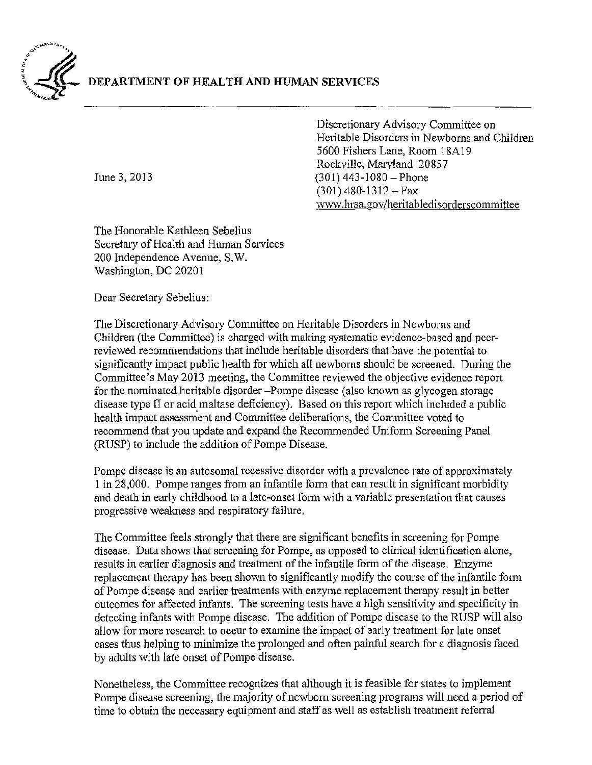

Discretionary Advisory Committee on Heritable Disorders in Newborns and Children 5600 Fishers Lane, Room 18A19 Rockville, Maryland 20857 June 3, 2013 (301) 443-1080 - Phone  $(301)$  480-1312 - Fax \V\V\V.hrsa.gov /heri tabledisorderscommi ttee

The Honorable Kathleen Sebelius Secretary of Health and Human Services 200 Independence Avenue, S.W. Washington, DC 20201

Dear Secretary Sebelius:

The Discretionary Advisory Committee on Heritable Disorders in Newborns and Children (the Committee) is charged with making systematic evidence-based and peerreviewed recommendations that include heritable disorders that have the potential to significantly impact public health for which all newborns should be screened. During the Committee's May 2013 meeting, the Committee reviewed the objective evidence report for the nominated heritable disorder-Pompe disease (also known as glycogen storage disease type II or acid maltase deficiency). Based on this report which included a public health impact assessment and Committee deliberations, the Committee voted to recommend that you update and expand the Recommended Uniform Screening Panel (RUSP) to include the addition of Pompe Disease.

Pompe disease is an autosomal recessive disorder with a prevalence rate of approximately 1 in 28,000. Pompe ranges from an infantile form that can result in significant morbidity and death in early childhood to a late-onset form with a variable presentation that causes progressive weakness and respiratory failure.

The Committee feels strongly that there are significant benefits in screening for Pompe disease. Data shows that screening for Pompe, as opposed to clinical identification alone, results in earlier diagnosis and treatment of the infantile form of the disease. Enzyme replacement therapy has been shown to significantly modify the course of the infantile form of Pompe disease and earlier treatments with enzyme replacement therapy result in better outcomes for affected infants. The screening tests have a high sensitivity and specificity in detecting infants with Pompe disease. The addition of Pompe disease to the RUSP will also allow for more research to occur to examine the impact of early treatment for late onset cases thus helping to minimize the prolonged and often painful search for a diagnosis faced by adults with late onset of Pompe disease.

Nonetheless, the Committee recognizes that although it is feasible for states to implement Pompe disease screening, the majority of newborn screening programs will need a period of time to obtain the necessary equipment and staff as well as establish treatment referral